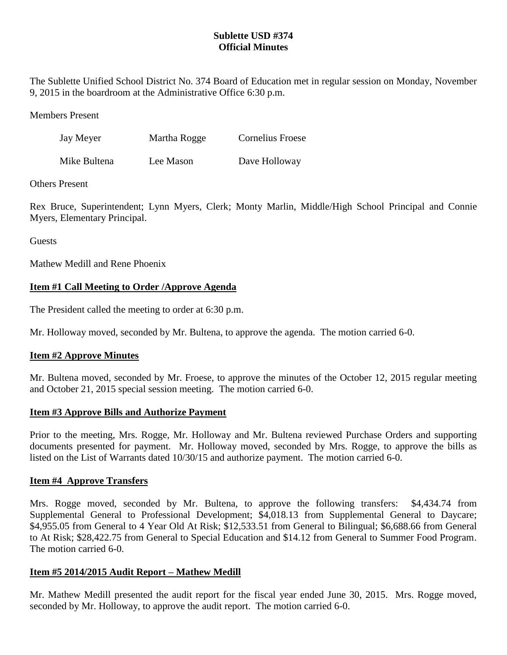# **Sublette USD #374 Official Minutes**

The Sublette Unified School District No. 374 Board of Education met in regular session on Monday, November 9, 2015 in the boardroom at the Administrative Office 6:30 p.m.

Members Present

| Jay Meyer    | Martha Rogge | Cornelius Froese |
|--------------|--------------|------------------|
| Mike Bultena | Lee Mason    | Dave Holloway    |

## Others Present

Rex Bruce, Superintendent; Lynn Myers, Clerk; Monty Marlin, Middle/High School Principal and Connie Myers, Elementary Principal.

Guests

Mathew Medill and Rene Phoenix

# **Item #1 Call Meeting to Order /Approve Agenda**

The President called the meeting to order at 6:30 p.m.

Mr. Holloway moved, seconded by Mr. Bultena, to approve the agenda. The motion carried 6-0.

# **Item #2 Approve Minutes**

Mr. Bultena moved, seconded by Mr. Froese, to approve the minutes of the October 12, 2015 regular meeting and October 21, 2015 special session meeting. The motion carried 6-0.

### **Item #3 Approve Bills and Authorize Payment**

Prior to the meeting, Mrs. Rogge, Mr. Holloway and Mr. Bultena reviewed Purchase Orders and supporting documents presented for payment. Mr. Holloway moved, seconded by Mrs. Rogge, to approve the bills as listed on the List of Warrants dated 10/30/15 and authorize payment. The motion carried 6-0.

### **Item #4 Approve Transfers**

Mrs. Rogge moved, seconded by Mr. Bultena, to approve the following transfers: \$4,434.74 from Supplemental General to Professional Development; \$4,018.13 from Supplemental General to Daycare; \$4,955.05 from General to 4 Year Old At Risk; \$12,533.51 from General to Bilingual; \$6,688.66 from General to At Risk; \$28,422.75 from General to Special Education and \$14.12 from General to Summer Food Program. The motion carried 6-0.

# **Item #5 2014/2015 Audit Report – Mathew Medill**

Mr. Mathew Medill presented the audit report for the fiscal year ended June 30, 2015. Mrs. Rogge moved, seconded by Mr. Holloway, to approve the audit report. The motion carried 6-0.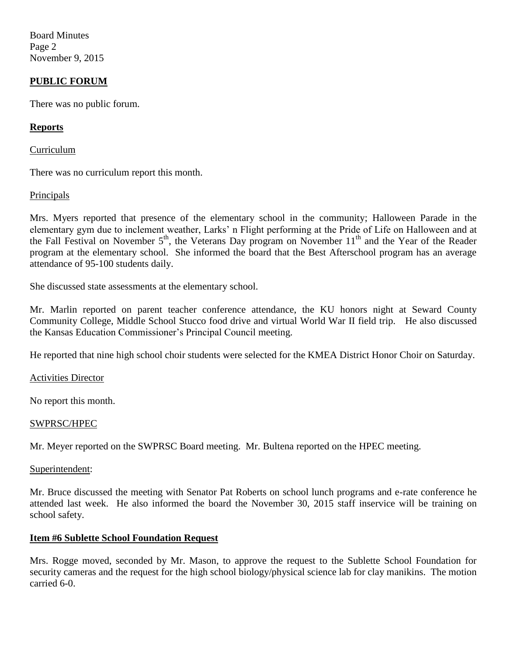Board Minutes Page 2 November 9, 2015

## **PUBLIC FORUM**

There was no public forum.

### **Reports**

Curriculum

There was no curriculum report this month.

### **Principals**

Mrs. Myers reported that presence of the elementary school in the community; Halloween Parade in the elementary gym due to inclement weather, Larks' n Flight performing at the Pride of Life on Halloween and at the Fall Festival on November 5<sup>th</sup>, the Veterans Day program on November 11<sup>th</sup> and the Year of the Reader program at the elementary school. She informed the board that the Best Afterschool program has an average attendance of 95-100 students daily.

She discussed state assessments at the elementary school.

Mr. Marlin reported on parent teacher conference attendance, the KU honors night at Seward County Community College, Middle School Stucco food drive and virtual World War II field trip. He also discussed the Kansas Education Commissioner's Principal Council meeting.

He reported that nine high school choir students were selected for the KMEA District Honor Choir on Saturday.

Activities Director

No report this month.

#### SWPRSC/HPEC

Mr. Meyer reported on the SWPRSC Board meeting. Mr. Bultena reported on the HPEC meeting.

#### Superintendent:

Mr. Bruce discussed the meeting with Senator Pat Roberts on school lunch programs and e-rate conference he attended last week. He also informed the board the November 30, 2015 staff inservice will be training on school safety.

### **Item #6 Sublette School Foundation Request**

Mrs. Rogge moved, seconded by Mr. Mason, to approve the request to the Sublette School Foundation for security cameras and the request for the high school biology/physical science lab for clay manikins. The motion carried 6-0.